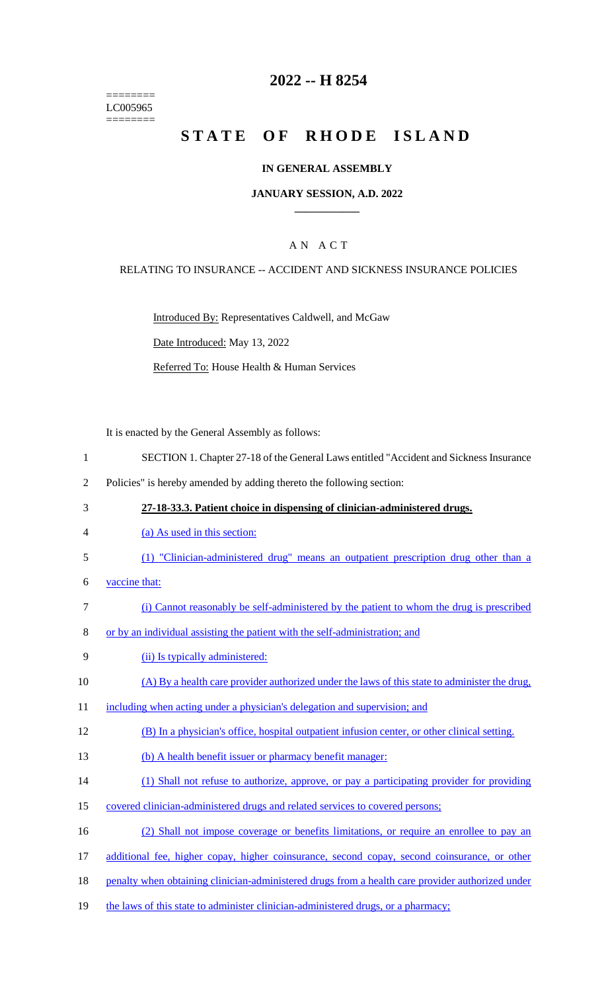======== LC005965 ========

## **2022 -- H 8254**

# **STATE OF RHODE ISLAND**

#### **IN GENERAL ASSEMBLY**

#### **JANUARY SESSION, A.D. 2022 \_\_\_\_\_\_\_\_\_\_\_\_**

### A N A C T

#### RELATING TO INSURANCE -- ACCIDENT AND SICKNESS INSURANCE POLICIES

Introduced By: Representatives Caldwell, and McGaw

Date Introduced: May 13, 2022

Referred To: House Health & Human Services

It is enacted by the General Assembly as follows:

- 1 SECTION 1. Chapter 27-18 of the General Laws entitled "Accident and Sickness Insurance
- 2 Policies" is hereby amended by adding thereto the following section:
- 3 **27-18-33.3. Patient choice in dispensing of clinician-administered drugs.**
- 4 (a) As used in this section:
- 5 (1) "Clinician-administered drug" means an outpatient prescription drug other than a
- 6 vaccine that:
- 7 (i) Cannot reasonably be self-administered by the patient to whom the drug is prescribed
- 8 or by an individual assisting the patient with the self-administration; and
- 9 (ii) Is typically administered:
- 10 (A) By a health care provider authorized under the laws of this state to administer the drug,
- 11 including when acting under a physician's delegation and supervision; and
- 12 (B) In a physician's office, hospital outpatient infusion center, or other clinical setting.
- 13 (b) A health benefit issuer or pharmacy benefit manager:
- 14 (1) Shall not refuse to authorize, approve, or pay a participating provider for providing
- 15 covered clinician-administered drugs and related services to covered persons;
- 16 (2) Shall not impose coverage or benefits limitations, or require an enrollee to pay an
- 17 additional fee, higher copay, higher coinsurance, second copay, second coinsurance, or other
- 18 penalty when obtaining clinician-administered drugs from a health care provider authorized under
- 19 the laws of this state to administer clinician-administered drugs, or a pharmacy;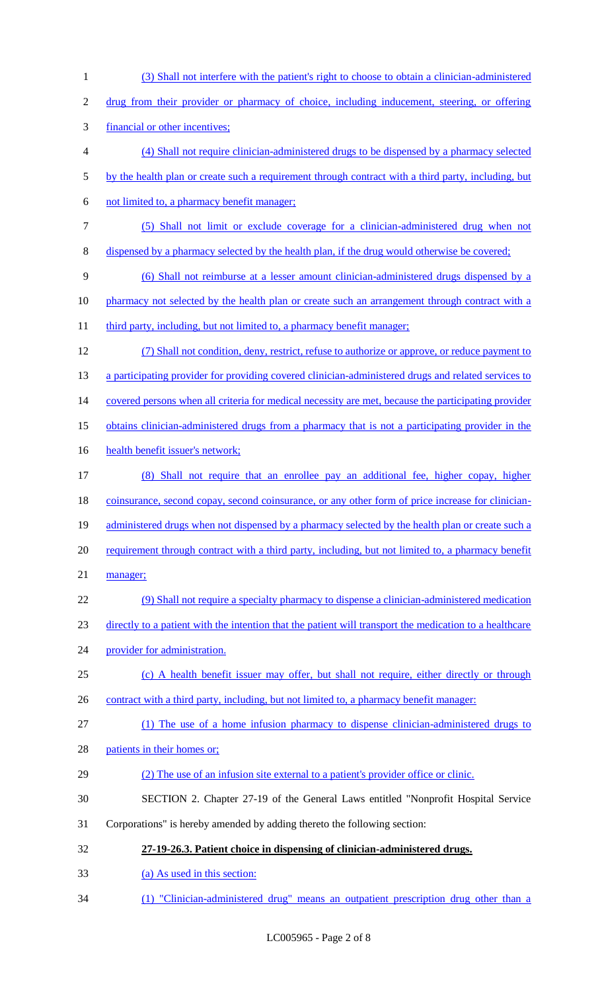| $\mathbf{1}$   | (3) Shall not interfere with the patient's right to choose to obtain a clinician-administered           |
|----------------|---------------------------------------------------------------------------------------------------------|
| $\overline{c}$ | drug from their provider or pharmacy of choice, including inducement, steering, or offering             |
| 3              | financial or other incentives:                                                                          |
| $\overline{4}$ | (4) Shall not require clinician-administered drugs to be dispensed by a pharmacy selected               |
| 5              | by the health plan or create such a requirement through contract with a third party, including, but     |
| 6              | not limited to, a pharmacy benefit manager;                                                             |
| $\tau$         | (5) Shall not limit or exclude coverage for a clinician-administered drug when not                      |
| $8\,$          | dispensed by a pharmacy selected by the health plan, if the drug would otherwise be covered;            |
| 9              | (6) Shall not reimburse at a lesser amount clinician-administered drugs dispensed by a                  |
| 10             | pharmacy not selected by the health plan or create such an arrangement through contract with a          |
| 11             | third party, including, but not limited to, a pharmacy benefit manager;                                 |
| 12             | (7) Shall not condition, deny, restrict, refuse to authorize or approve, or reduce payment to           |
| 13             | a participating provider for providing covered clinician-administered drugs and related services to     |
| 14             | covered persons when all criteria for medical necessity are met, because the participating provider     |
| 15             | obtains clinician-administered drugs from a pharmacy that is not a participating provider in the        |
| 16             | health benefit issuer's network;                                                                        |
| 17             | (8) Shall not require that an enrollee pay an additional fee, higher copay, higher                      |
| 18             | coinsurance, second copay, second coinsurance, or any other form of price increase for clinician-       |
| 19             | administered drugs when not dispensed by a pharmacy selected by the health plan or create such a        |
| 20             | requirement through contract with a third party, including, but not limited to, a pharmacy benefit      |
| 21             | manager;                                                                                                |
| 22             | (9) Shall not require a specialty pharmacy to dispense a clinician-administered medication              |
| 23             | directly to a patient with the intention that the patient will transport the medication to a healthcare |
| 24             | provider for administration.                                                                            |
| 25             | (c) A health benefit issuer may offer, but shall not require, either directly or through                |
| 26             | contract with a third party, including, but not limited to, a pharmacy benefit manager:                 |
| 27             | (1) The use of a home infusion pharmacy to dispense clinician-administered drugs to                     |
| 28             | patients in their homes or;                                                                             |
| 29             | (2) The use of an infusion site external to a patient's provider office or clinic.                      |
| 30             | SECTION 2. Chapter 27-19 of the General Laws entitled "Nonprofit Hospital Service                       |
| 31             | Corporations" is hereby amended by adding thereto the following section:                                |
| 32             | 27-19-26.3. Patient choice in dispensing of clinician-administered drugs.                               |
| 33             | (a) As used in this section:                                                                            |
| 34             | (1) "Clinician-administered drug" means an outpatient prescription drug other than a                    |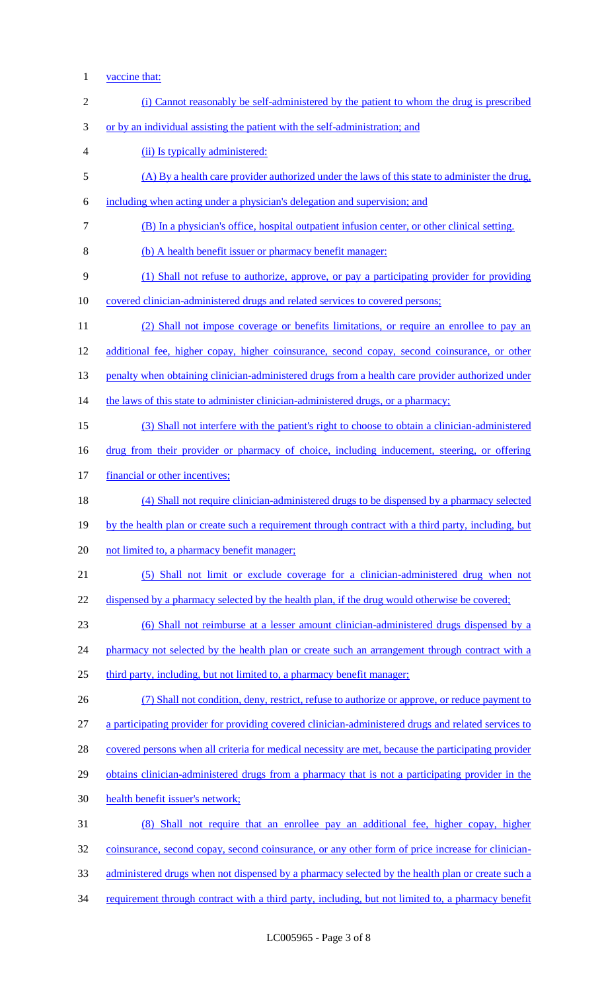1 <u>vaccine that:</u>

| $\mathbf{2}$   | (i) Cannot reasonably be self-administered by the patient to whom the drug is prescribed            |
|----------------|-----------------------------------------------------------------------------------------------------|
| 3              | or by an individual assisting the patient with the self-administration; and                         |
| $\overline{4}$ | (ii) Is typically administered:                                                                     |
| $\mathfrak s$  | (A) By a health care provider authorized under the laws of this state to administer the drug,       |
| 6              | including when acting under a physician's delegation and supervision; and                           |
| 7              | (B) In a physician's office, hospital outpatient infusion center, or other clinical setting.        |
| 8              | (b) A health benefit issuer or pharmacy benefit manager:                                            |
| 9              | (1) Shall not refuse to authorize, approve, or pay a participating provider for providing           |
| 10             | covered clinician-administered drugs and related services to covered persons;                       |
| 11             | (2) Shall not impose coverage or benefits limitations, or require an enrollee to pay an             |
| 12             | additional fee, higher copay, higher coinsurance, second copay, second coinsurance, or other        |
| 13             | penalty when obtaining clinician-administered drugs from a health care provider authorized under    |
| 14             | the laws of this state to administer clinician-administered drugs, or a pharmacy;                   |
| 15             | (3) Shall not interfere with the patient's right to choose to obtain a clinician-administered       |
| 16             | drug from their provider or pharmacy of choice, including inducement, steering, or offering         |
| 17             | financial or other incentives;                                                                      |
| 18             | (4) Shall not require clinician-administered drugs to be dispensed by a pharmacy selected           |
| 19             | by the health plan or create such a requirement through contract with a third party, including, but |
| 20             | not limited to, a pharmacy benefit manager;                                                         |
| 21             | (5) Shall not limit or exclude coverage for a clinician-administered drug when not                  |
| 22             | dispensed by a pharmacy selected by the health plan, if the drug would otherwise be covered;        |
| 23             | (6) Shall not reimburse at a lesser amount clinician-administered drugs dispensed by a              |
| 24             | pharmacy not selected by the health plan or create such an arrangement through contract with a      |
| 25             | third party, including, but not limited to, a pharmacy benefit manager;                             |
| 26             | (7) Shall not condition, deny, restrict, refuse to authorize or approve, or reduce payment to       |
| 27             | a participating provider for providing covered clinician-administered drugs and related services to |
| 28             | covered persons when all criteria for medical necessity are met, because the participating provider |
| 29             | obtains clinician-administered drugs from a pharmacy that is not a participating provider in the    |
| 30             | health benefit issuer's network;                                                                    |
| 31             | (8) Shall not require that an enrollee pay an additional fee, higher copay, higher                  |
| 32             | coinsurance, second copay, second coinsurance, or any other form of price increase for clinician-   |
| 33             | administered drugs when not dispensed by a pharmacy selected by the health plan or create such a    |
| 34             | requirement through contract with a third party, including, but not limited to, a pharmacy benefit  |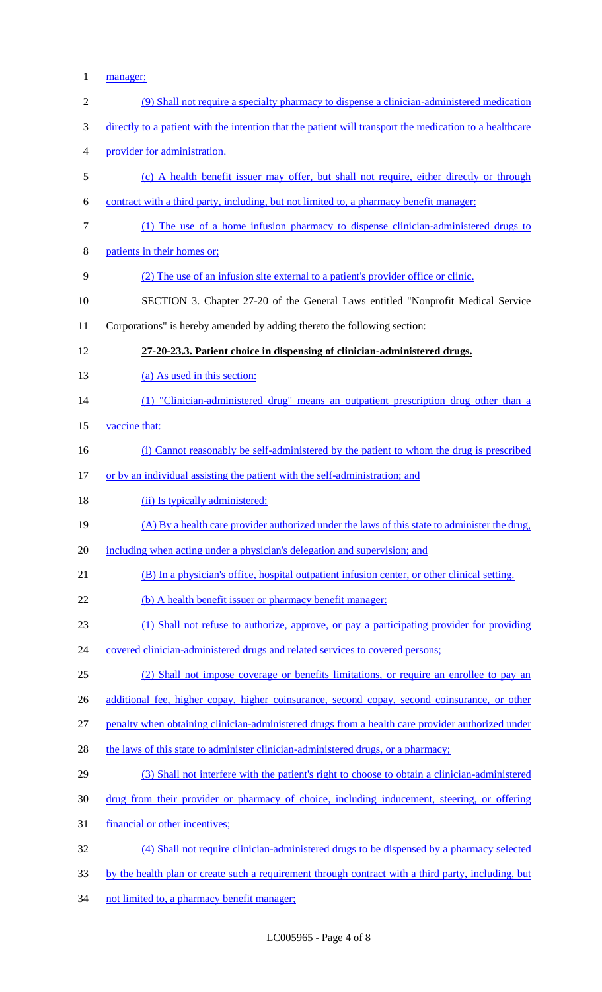1 manager;

| $\overline{2}$ | (9) Shall not require a specialty pharmacy to dispense a clinician-administered medication              |
|----------------|---------------------------------------------------------------------------------------------------------|
| 3              | directly to a patient with the intention that the patient will transport the medication to a healthcare |
| $\overline{4}$ | provider for administration.                                                                            |
| 5              | (c) A health benefit issuer may offer, but shall not require, either directly or through                |
| 6              | contract with a third party, including, but not limited to, a pharmacy benefit manager:                 |
| $\overline{7}$ | (1) The use of a home infusion pharmacy to dispense clinician-administered drugs to                     |
| $8\,$          | patients in their homes or;                                                                             |
| 9              | (2) The use of an infusion site external to a patient's provider office or clinic.                      |
| 10             | SECTION 3. Chapter 27-20 of the General Laws entitled "Nonprofit Medical Service                        |
| 11             | Corporations" is hereby amended by adding thereto the following section:                                |
| 12             | 27-20-23.3. Patient choice in dispensing of clinician-administered drugs.                               |
| 13             | (a) As used in this section:                                                                            |
| 14             | (1) "Clinician-administered drug" means an outpatient prescription drug other than a                    |
| 15             | vaccine that:                                                                                           |
| 16             | (i) Cannot reasonably be self-administered by the patient to whom the drug is prescribed                |
| 17             | or by an individual assisting the patient with the self-administration; and                             |
|                |                                                                                                         |
| 18             | (ii) Is typically administered:                                                                         |
| 19             | (A) By a health care provider authorized under the laws of this state to administer the drug,           |
| 20             | including when acting under a physician's delegation and supervision; and                               |
| 21             | (B) In a physician's office, hospital outpatient infusion center, or other clinical setting.            |
| 22             | (b) A health benefit issuer or pharmacy benefit manager:                                                |
| 23             | (1) Shall not refuse to authorize, approve, or pay a participating provider for providing               |
| 24             | covered clinician-administered drugs and related services to covered persons;                           |
| 25             | (2) Shall not impose coverage or benefits limitations, or require an enrollee to pay an                 |
| 26             | additional fee, higher copay, higher coinsurance, second copay, second coinsurance, or other            |
| 27             | penalty when obtaining clinician-administered drugs from a health care provider authorized under        |
| 28             | the laws of this state to administer clinician-administered drugs, or a pharmacy;                       |
| 29             | (3) Shall not interfere with the patient's right to choose to obtain a clinician-administered           |
| 30             | drug from their provider or pharmacy of choice, including inducement, steering, or offering             |
| 31             | financial or other incentives;                                                                          |
| 32             | (4) Shall not require clinician-administered drugs to be dispensed by a pharmacy selected               |

34 not limited to, a pharmacy benefit manager;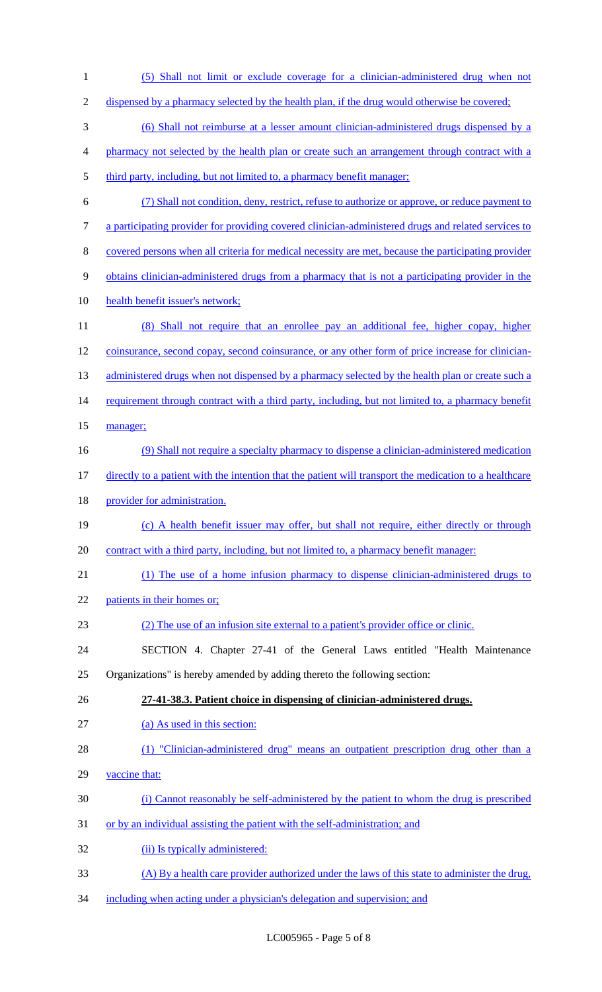(5) Shall not limit or exclude coverage for a clinician-administered drug when not 2 dispensed by a pharmacy selected by the health plan, if the drug would otherwise be covered; (6) Shall not reimburse at a lesser amount clinician-administered drugs dispensed by a pharmacy not selected by the health plan or create such an arrangement through contract with a 5 third party, including, but not limited to, a pharmacy benefit manager; (7) Shall not condition, deny, restrict, refuse to authorize or approve, or reduce payment to a participating provider for providing covered clinician-administered drugs and related services to covered persons when all criteria for medical necessity are met, because the participating provider 9 obtains clinician-administered drugs from a pharmacy that is not a participating provider in the health benefit issuer's network; (8) Shall not require that an enrollee pay an additional fee, higher copay, higher coinsurance, second copay, second coinsurance, or any other form of price increase for clinician-13 administered drugs when not dispensed by a pharmacy selected by the health plan or create such a 14 requirement through contract with a third party, including, but not limited to, a pharmacy benefit 15 manager; (9) Shall not require a specialty pharmacy to dispense a clinician-administered medication 17 directly to a patient with the intention that the patient will transport the medication to a healthcare 18 provider for administration. (c) A health benefit issuer may offer, but shall not require, either directly or through 20 contract with a third party, including, but not limited to, a pharmacy benefit manager: (1) The use of a home infusion pharmacy to dispense clinician-administered drugs to 22 patients in their homes or; (2) The use of an infusion site external to a patient's provider office or clinic. SECTION 4. Chapter 27-41 of the General Laws entitled "Health Maintenance Organizations" is hereby amended by adding thereto the following section: **27-41-38.3. Patient choice in dispensing of clinician-administered drugs.**  27 (a) As used in this section: 28 (1) "Clinician-administered drug" means an outpatient prescription drug other than a vaccine that: (i) Cannot reasonably be self-administered by the patient to whom the drug is prescribed or by an individual assisting the patient with the self-administration; and 32 (ii) Is typically administered: (A) By a health care provider authorized under the laws of this state to administer the drug, including when acting under a physician's delegation and supervision; and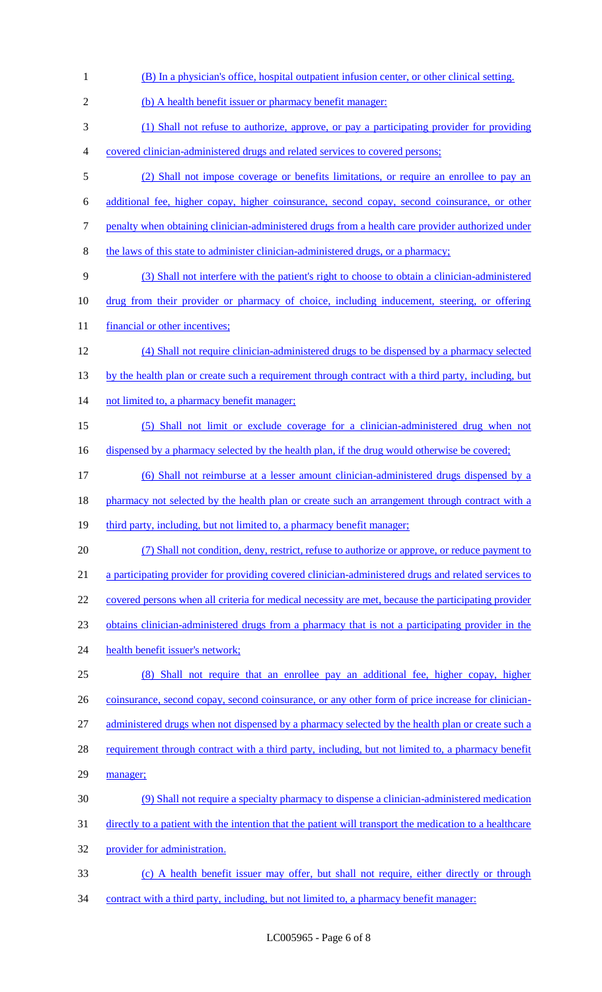| $\mathbf{1}$   | (B) In a physician's office, hospital outpatient infusion center, or other clinical setting.            |
|----------------|---------------------------------------------------------------------------------------------------------|
| $\overline{2}$ | (b) A health benefit issuer or pharmacy benefit manager:                                                |
| 3              | (1) Shall not refuse to authorize, approve, or pay a participating provider for providing               |
| 4              | covered clinician-administered drugs and related services to covered persons;                           |
| 5              | (2) Shall not impose coverage or benefits limitations, or require an enrollee to pay an                 |
| 6              | additional fee, higher copay, higher coinsurance, second copay, second coinsurance, or other            |
| 7              | penalty when obtaining clinician-administered drugs from a health care provider authorized under        |
| 8              | the laws of this state to administer clinician-administered drugs, or a pharmacy;                       |
| 9              | (3) Shall not interfere with the patient's right to choose to obtain a clinician-administered           |
| 10             | drug from their provider or pharmacy of choice, including inducement, steering, or offering             |
| 11             | financial or other incentives;                                                                          |
| 12             | (4) Shall not require clinician-administered drugs to be dispensed by a pharmacy selected               |
| 13             | by the health plan or create such a requirement through contract with a third party, including, but     |
| 14             | not limited to, a pharmacy benefit manager;                                                             |
| 15             | (5) Shall not limit or exclude coverage for a clinician-administered drug when not                      |
| 16             | dispensed by a pharmacy selected by the health plan, if the drug would otherwise be covered;            |
| 17             | (6) Shall not reimburse at a lesser amount clinician-administered drugs dispensed by a                  |
| 18             | pharmacy not selected by the health plan or create such an arrangement through contract with a          |
| 19             | third party, including, but not limited to, a pharmacy benefit manager;                                 |
| 20             | (7) Shall not condition, deny, restrict, refuse to authorize or approve, or reduce payment to           |
| 21             | a participating provider for providing covered clinician-administered drugs and related services to     |
| 22             | covered persons when all criteria for medical necessity are met, because the participating provider     |
| 23             | obtains clinician-administered drugs from a pharmacy that is not a participating provider in the        |
| 24             | health benefit issuer's network;                                                                        |
| 25             | (8) Shall not require that an enrollee pay an additional fee, higher copay, higher                      |
| 26             | coinsurance, second copay, second coinsurance, or any other form of price increase for clinician-       |
| 27             | administered drugs when not dispensed by a pharmacy selected by the health plan or create such a        |
| 28             | requirement through contract with a third party, including, but not limited to, a pharmacy benefit      |
| 29             | manager;                                                                                                |
| 30             | (9) Shall not require a specialty pharmacy to dispense a clinician-administered medication              |
| 31             | directly to a patient with the intention that the patient will transport the medication to a healthcare |
| 32             | provider for administration.                                                                            |
| 33             | (c) A health benefit issuer may offer, but shall not require, either directly or through                |
| 34             | contract with a third party, including, but not limited to, a pharmacy benefit manager:                 |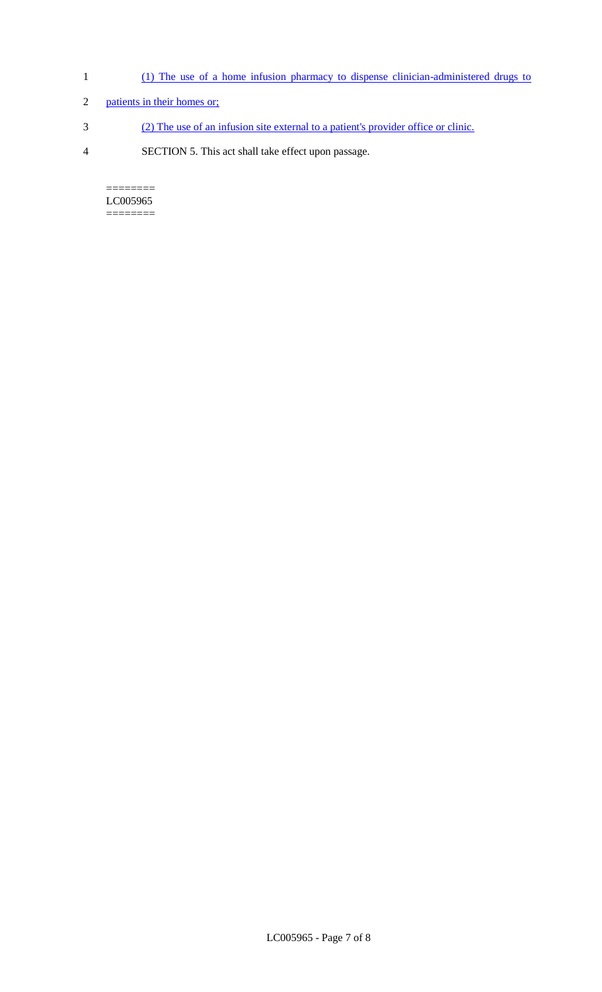- 1 (1) The use of a home infusion pharmacy to dispense clinician-administered drugs to
- 2 patients in their homes or;
- 3 (2) The use of an infusion site external to a patient's provider office or clinic.
- 4 SECTION 5. This act shall take effect upon passage.

======== LC005965  $=$